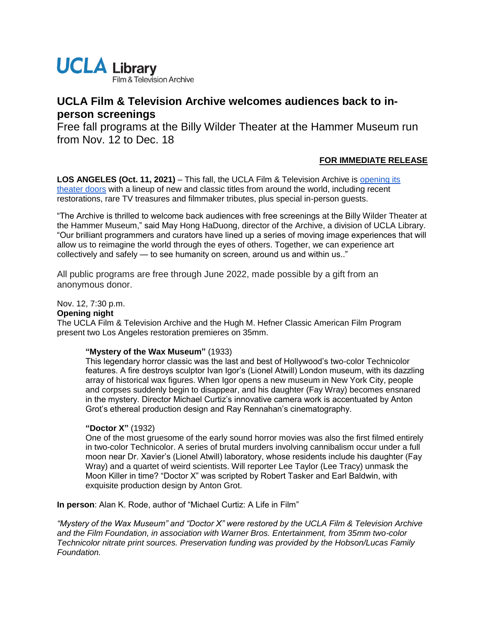

# **UCLA Film & Television Archive welcomes audiences back to inperson screenings**

Free fall programs at the Billy Wilder Theater at the Hammer Museum run from Nov. 12 to Dec. 18

# **FOR IMMEDIATE RELEASE**

**LOS ANGELES (Oct. 11, 2021)** – This fall, the UCLA Film & Television Archive is [opening its](https://cinema.ucla.edu/events)  [theater doors](https://cinema.ucla.edu/events) with a lineup of new and classic titles from around the world, including recent restorations, rare TV treasures and filmmaker tributes, plus special in-person guests.

"The Archive is thrilled to welcome back audiences with free screenings at the Billy Wilder Theater at the Hammer Museum," said May Hong HaDuong, director of the Archive, a division of UCLA Library. "Our brilliant programmers and curators have lined up a series of moving image experiences that will allow us to reimagine the world through the eyes of others. Together, we can experience art collectively and safely — to see humanity on screen, around us and within us.."

All public programs are free through June 2022, made possible by a gift from an anonymous donor.

# Nov. 12, 7:30 p.m.

# **Opening night**

The UCLA Film & Television Archive and the Hugh M. Hefner Classic American Film Program present two Los Angeles restoration premieres on 35mm.

# **"Mystery of the Wax Museum"** (1933)

This legendary horror classic was the last and best of Hollywood's two-color Technicolor features. A fire destroys sculptor Ivan Igor's (Lionel Atwill) London museum, with its dazzling array of historical wax figures. When Igor opens a new museum in New York City, people and corpses suddenly begin to disappear, and his daughter (Fay Wray) becomes ensnared in the mystery. Director Michael Curtiz's innovative camera work is accentuated by Anton Grot's ethereal production design and Ray Rennahan's cinematography.

# **"Doctor X"** (1932)

One of the most gruesome of the early sound horror movies was also the first filmed entirely in two-color Technicolor. A series of brutal murders involving cannibalism occur under a full moon near Dr. Xavier's (Lionel Atwill) laboratory, whose residents include his daughter (Fay Wray) and a quartet of weird scientists. Will reporter Lee Taylor (Lee Tracy) unmask the Moon Killer in time? "Doctor X" was scripted by Robert Tasker and Earl Baldwin, with exquisite production design by Anton Grot.

**In person**: Alan K. Rode, author of "Michael Curtiz: A Life in Film"

*"Mystery of the Wax Museum" and "Doctor X" were restored by the UCLA Film & Television Archive and the Film Foundation, in association with Warner Bros. Entertainment, from 35mm two-color Technicolor nitrate print sources. Preservation funding was provided by the Hobson/Lucas Family Foundation.*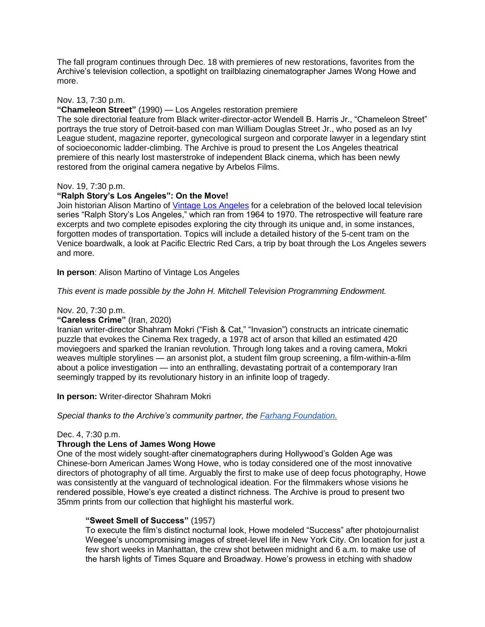The fall program continues through Dec. 18 with premieres of new restorations, favorites from the Archive's television collection, a spotlight on trailblazing cinematographer James Wong Howe and more.

## Nov. 13, 7:30 p.m.

#### **"Chameleon Street"** (1990) — Los Angeles restoration premiere

The sole directorial feature from Black writer-director-actor Wendell B. Harris Jr., "Chameleon Street" portrays the true story of Detroit-based con man William Douglas Street Jr., who posed as an Ivy League student, magazine reporter, gynecological surgeon and corporate lawyer in a legendary stint of socioeconomic ladder-climbing. The Archive is proud to present the Los Angeles theatrical premiere of this nearly lost masterstroke of independent Black cinema, which has been newly restored from the original camera negative by Arbelos Films.

## Nov. 19, 7:30 p.m.

## **"Ralph Story's Los Angeles": On the Move!**

Join historian Alison Martino of [Vintage Los Angeles](http://alisonmartino.com/) for a celebration of the beloved local television series "Ralph Story's Los Angeles," which ran from 1964 to 1970. The retrospective will feature rare excerpts and two complete episodes exploring the city through its unique and, in some instances, forgotten modes of transportation. Topics will include a detailed history of the 5-cent tram on the Venice boardwalk, a look at Pacific Electric Red Cars, a trip by boat through the Los Angeles sewers and more.

**In person**: Alison Martino of Vintage Los Angeles

*This event is made possible by the John H. Mitchell Television Programming Endowment.*

## Nov. 20, 7:30 p.m.

#### **"Careless Crime"** (Iran, 2020)

Iranian writer-director Shahram Mokri ("Fish & Cat," "Invasion") constructs an intricate cinematic puzzle that evokes the Cinema Rex tragedy, a 1978 act of arson that killed an estimated 420 moviegoers and sparked the Iranian revolution. Through long takes and a roving camera, Mokri weaves multiple storylines — an arsonist plot, a student film group screening, a film-within-a-film about a police investigation — into an enthralling, devastating portrait of a contemporary Iran seemingly trapped by its revolutionary history in an infinite loop of tragedy.

**In person:** Writer-director Shahram Mokri

*Special thanks to the Archive's community partner, the [Farhang Foundation.](https://farhang.org/)*

#### Dec. 4, 7:30 p.m.

# **Through the Lens of James Wong Howe**

One of the most widely sought-after cinematographers during Hollywood's Golden Age was Chinese-born American James Wong Howe, who is today considered one of the most innovative directors of photography of all time. Arguably the first to make use of deep focus photography, Howe was consistently at the vanguard of technological ideation. For the filmmakers whose visions he rendered possible, Howe's eye created a distinct richness. The Archive is proud to present two 35mm prints from our collection that highlight his masterful work.

#### **"Sweet Smell of Success"** (1957)

To execute the film's distinct nocturnal look, Howe modeled "Success" after photojournalist Weegee's uncompromising images of street-level life in New York City. On location for just a few short weeks in Manhattan, the crew shot between midnight and 6 a.m. to make use of the harsh lights of Times Square and Broadway. Howe's prowess in etching with shadow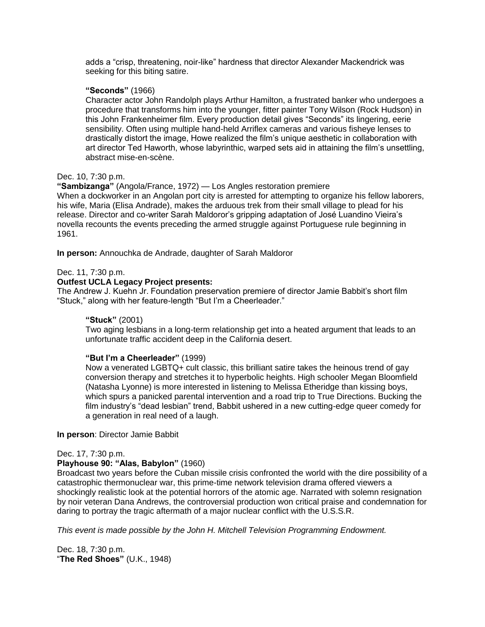adds a "crisp, threatening, noir-like" hardness that director Alexander Mackendrick was seeking for this biting satire.

#### **"Seconds"** (1966)

Character actor John Randolph plays Arthur Hamilton, a frustrated banker who undergoes a procedure that transforms him into the younger, fitter painter Tony Wilson (Rock Hudson) in this John Frankenheimer film. Every production detail gives "Seconds" its lingering, eerie sensibility. Often using multiple hand-held Arriflex cameras and various fisheye lenses to drastically distort the image, Howe realized the film's unique aesthetic in collaboration with art director Ted Haworth, whose labyrinthic, warped sets aid in attaining the film's unsettling, abstract mise-en-scène.

## Dec. 10, 7:30 p.m.

#### **"Sambizanga"** (Angola/France, 1972) — Los Angles restoration premiere

When a dockworker in an Angolan port city is arrested for attempting to organize his fellow laborers, his wife, Maria (Elisa Andrade), makes the arduous trek from their small village to plead for his release. Director and co-writer Sarah Maldoror's gripping adaptation of José Luandino Vieira's novella recounts the events preceding the armed struggle against Portuguese rule beginning in 1961.

**In person:** Annouchka de Andrade, daughter of Sarah Maldoror

## Dec. 11, 7:30 p.m.

## **Outfest UCLA Legacy Project presents:**

The Andrew J. Kuehn Jr. Foundation preservation premiere of director Jamie Babbit's short film "Stuck," along with her feature-length "But I'm a Cheerleader."

#### **"Stuck"** (2001)

Two aging lesbians in a long-term relationship get into a heated argument that leads to an unfortunate traffic accident deep in the California desert.

#### **"But I'm a Cheerleader"** (1999)

Now a venerated LGBTQ+ cult classic, this brilliant satire takes the heinous trend of gay conversion therapy and stretches it to hyperbolic heights. High schooler Megan Bloomfield (Natasha Lyonne) is more interested in listening to Melissa Etheridge than kissing boys, which spurs a panicked parental intervention and a road trip to True Directions. Bucking the film industry's "dead lesbian" trend, Babbit ushered in a new cutting-edge queer comedy for a generation in real need of a laugh.

#### **In person**: Director Jamie Babbit

#### Dec. 17, 7:30 p.m.

# **Playhouse 90: "Alas, Babylon"** (1960)

Broadcast two years before the Cuban missile crisis confronted the world with the dire possibility of a catastrophic thermonuclear war, this prime-time network television drama offered viewers a shockingly realistic look at the potential horrors of the atomic age. Narrated with solemn resignation by noir veteran Dana Andrews, the controversial production won critical praise and condemnation for daring to portray the tragic aftermath of a major nuclear conflict with the U.S.S.R.

*This event is made possible by the John H. Mitchell Television Programming Endowment.*

Dec. 18, 7:30 p.m. "**The Red Shoes"** (U.K., 1948)